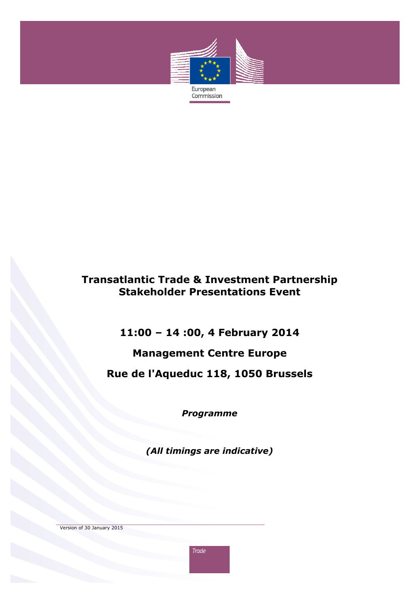

## **Transatlantic Trade & Investment Partnership Stakeholder Presentations Event**

**11:00 – 14 :00, 4 February 2014** 

# **Management Centre Europe**

**Rue de l'Aqueduc 118, 1050 Brussels** 

*Programme* 

*(All timings are indicative)* 

Version of 30 January 2015

**Trade**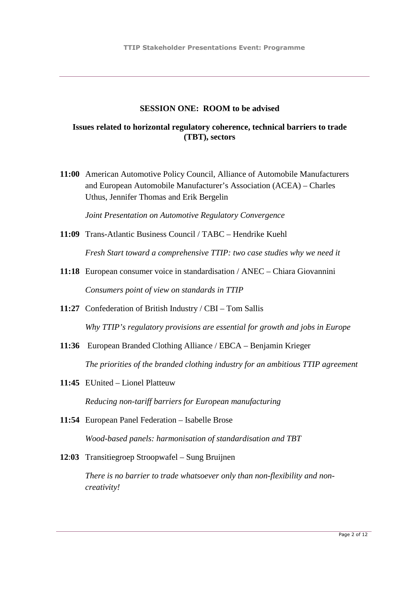#### **SESSION ONE: ROOM to be advised**

### **Issues related to horizontal regulatory coherence, technical barriers to trade (TBT), sectors**

**11:00** American Automotive Policy Council, Alliance of Automobile Manufacturers and European Automobile Manufacturer's Association (ACEA) – Charles Uthus, Jennifer Thomas and Erik Bergelin

*Joint Presentation on Automotive Regulatory Convergence*

- **11:09** Trans-Atlantic Business Council / TABC Hendrike Kuehl *Fresh Start toward a comprehensive TTIP: two case studies why we need it*
- **11:18** European consumer voice in standardisation / ANEC Chiara Giovannini *Consumers point of view on standards in TTIP*
- **11:27** Confederation of British Industry / CBI Tom Sallis *Why TTIP's regulatory provisions are essential for growth and jobs in Europe*
- **11:36** European Branded Clothing Alliance / EBCA Benjamin Krieger *The priorities of the branded clothing industry for an ambitious TTIP agreement*
- **11:45** EUnited Lionel Platteuw

*Reducing non-tariff barriers for European manufacturing* 

- **11:54** European Panel Federation Isabelle Brose *Wood-based panels: harmonisation of standardisation and TBT*
- **12**:**03** Transitiegroep Stroopwafel Sung Bruijnen

*There is no barrier to trade whatsoever only than non-flexibility and noncreativity!*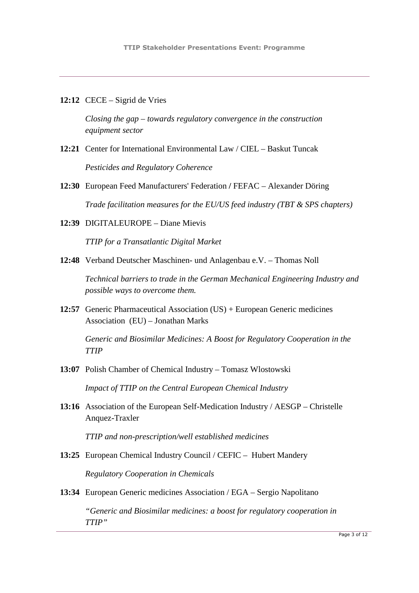**12:12** CECE – Sigrid de Vries

*Closing the gap – towards regulatory convergence in the construction equipment sector* 

- **12:21** Center for International Environmental Law / CIEL Baskut Tuncak *Pesticides and Regulatory Coherence*
- **12:30** European Feed Manufacturers' Federation **/** FEFAC Alexander Döring *Trade facilitation measures for the EU/US feed industry (TBT & SPS chapters)*
- **12:39** DIGITALEUROPE Diane Mievis

*TTIP for a Transatlantic Digital Market* 

**12:48** Verband Deutscher Maschinen- und Anlagenbau e.V. – Thomas Noll

*Technical barriers to trade in the German Mechanical Engineering Industry and possible ways to overcome them.* 

**12:57** Generic Pharmaceutical Association (US) + European Generic medicines Association (EU) – Jonathan Marks

*Generic and Biosimilar Medicines: A Boost for Regulatory Cooperation in the TTIP* 

- **13:07** Polish Chamber of Chemical Industry Tomasz Wlostowski *Impact of TTIP on the Central European Chemical Industry*
- **13:16** Association of the European Self-Medication Industry / AESGP Christelle Anquez-Traxler

*TTIP and non-prescription/well established medicines* 

- **13:25** European Chemical Industry Council / CEFIC Hubert Mandery *Regulatory Cooperation in Chemicals*
- **13:34** European Generic medicines Association / EGA Sergio Napolitano

*"Generic and Biosimilar medicines: a boost for regulatory cooperation in TTIP"*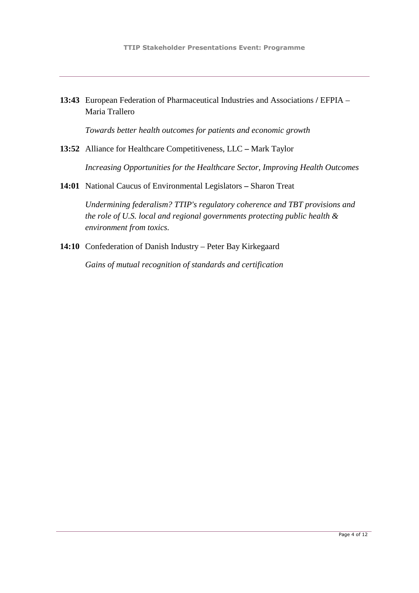**13:43** European Federation of Pharmaceutical Industries and Associations **/** EFPIA – Maria Trallero

*Towards better health outcomes for patients and economic growth* 

**13:52** Alliance for Healthcare Competitiveness, LLC **–** Mark Taylor

*Increasing Opportunities for the Healthcare Sector, Improving Health Outcomes* 

**14:01** National Caucus of Environmental Legislators **–** Sharon Treat

*Undermining federalism? TTIP's regulatory coherence and TBT provisions and the role of U.S. local and regional governments protecting public health & environment from toxics.* 

**14:10** Confederation of Danish Industry – Peter Bay Kirkegaard

*Gains of mutual recognition of standards and certification*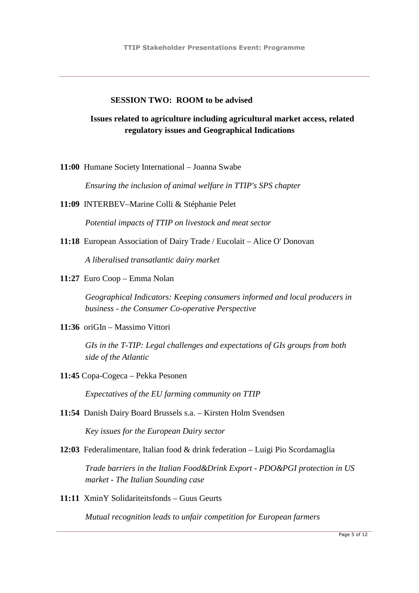#### **SESSION TWO: ROOM to be advised**

### **Issues related to agriculture including agricultural market access, related regulatory issues and Geographical Indications**

**11:00** Humane Society International – Joanna Swabe

*Ensuring the inclusion of animal welfare in TTIP's SPS chapter* 

**11:09** INTERBEV–Marine Colli & Stéphanie Pelet

*Potential impacts of TTIP on livestock and meat sector* 

**11:18** European Association of Dairy Trade / Eucolait – Alice O' Donovan

*A liberalised transatlantic dairy market* 

**11:27** Euro Coop – Emma Nolan

*Geographical Indicators: Keeping consumers informed and local producers in business - the Consumer Co-operative Perspective* 

**11:36** oriGIn – Massimo Vittori

*GIs in the T-TIP: Legal challenges and expectations of GIs groups from both side of the Atlantic* 

**11:45** Copa-Cogeca – Pekka Pesonen

*Expectatives of the EU farming community on TTIP* 

**11:54** Danish Dairy Board Brussels s.a. – Kirsten Holm Svendsen

*Key issues for the European Dairy sector*

**12:03** Federalimentare, Italian food & drink federation – Luigi Pio Scordamaglia

*Trade barriers in the Italian Food&Drink Export - PDO&PGI protection in US market - The Italian Sounding case*

**11:11** XminY Solidariteitsfonds – Guus Geurts

*Mutual recognition leads to unfair competition for European farmers*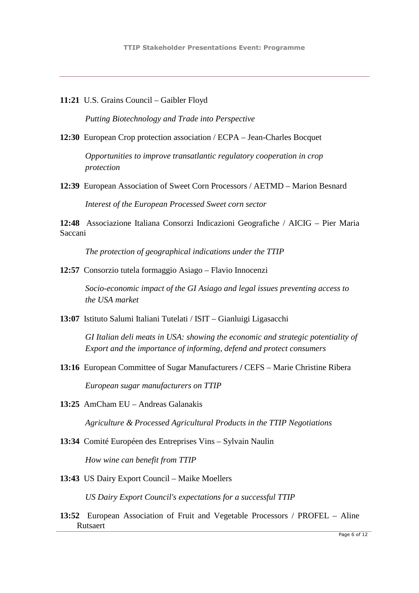**11:21** U.S. Grains Council – Gaibler Floyd

*Putting Biotechnology and Trade into Perspective*

**12:30** European Crop protection association / ECPA – Jean-Charles Bocquet

*Opportunities to improve transatlantic regulatory cooperation in crop protection* 

**12:39** European Association of Sweet Corn Processors / AETMD – Marion Besnard

*Interest of the European Processed Sweet corn sector* 

**12:48** Associazione Italiana Consorzi Indicazioni Geografiche / AICIG – Pier Maria Saccani

*The protection of geographical indications under the TTIP* 

**12:57** Consorzio tutela formaggio Asiago – Flavio Innocenzi

*Socio-economic impact of the GI Asiago and legal issues preventing access to the USA market* 

**13:07** Istituto Salumi Italiani Tutelati / ISIT – Gianluigi Ligasacchi

*GI Italian deli meats in USA: showing the economic and strategic potentiality of Export and the importance of informing, defend and protect consumers* 

- **13:16** European Committee of Sugar Manufacturers **/** CEFS Marie Christine Ribera *European sugar manufacturers on TTIP*
- **13:25** AmCham EU Andreas Galanakis

*Agriculture & Processed Agricultural Products in the TTIP Negotiations* 

**13:34** Comité Européen des Entreprises Vins – Sylvain Naulin

*How wine can benefit from TTIP* 

**13:43** US Dairy Export Council – Maike Moellers

*US Dairy Export Council's expectations for a successful TTIP* 

**13:52** European Association of Fruit and Vegetable Processors / PROFEL – Aline Rutsaert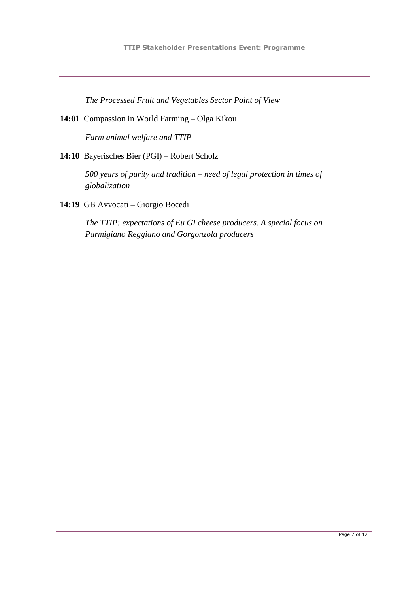*The Processed Fruit and Vegetables Sector Point of View* 

**14:01** Compassion in World Farming – Olga Kikou

*Farm animal welfare and TTIP* 

**14:10** Bayerisches Bier (PGI) – Robert Scholz

*500 years of purity and tradition – need of legal protection in times of globalization* 

**14:19** GB Avvocati – Giorgio Bocedi

*The TTIP: expectations of Eu GI cheese producers. A special focus on Parmigiano Reggiano and Gorgonzola producers*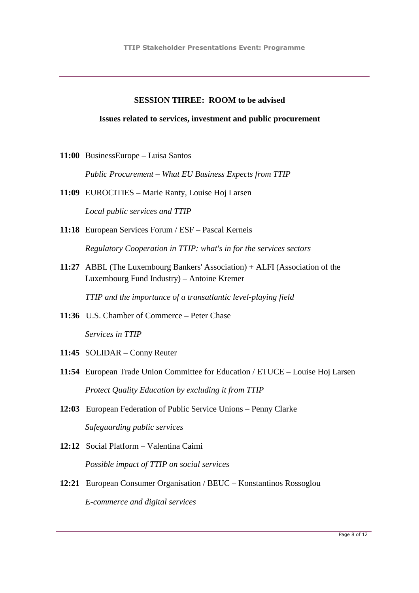### **SESSION THREE: ROOM to be advised**

#### **Issues related to services, investment and public procurement**

**11:00** BusinessEurope – Luisa Santos

*Public Procurement – What EU Business Expects from TTIP* 

- **11:09** EUROCITIES Marie Ranty, Louise Hoj Larsen *Local public services and TTIP*
- **11:18** European Services Forum / ESF Pascal Kerneis *Regulatory Cooperation in TTIP: what's in for the services sectors*
- **11:27** ABBL (The Luxembourg Bankers' Association) + ALFI (Association of the Luxembourg Fund Industry) – Antoine Kremer

*TTIP and the importance of a transatlantic level-playing field* 

- **11:36** U.S. Chamber of Commerce Peter Chase *Services in TTIP*
- **11:45** SOLIDAR Conny Reuter
- **11:54** European Trade Union Committee for Education / ETUCE Louise Hoj Larsen *Protect Quality Education by excluding it from TTIP*
- **12:03** European Federation of Public Service Unions Penny Clarke *Safeguarding public services*
- **12:12** Social Platform Valentina Caimi *Possible impact of TTIP on social services*
- **12:21** European Consumer Organisation / BEUC Konstantinos Rossoglou *E-commerce and digital services*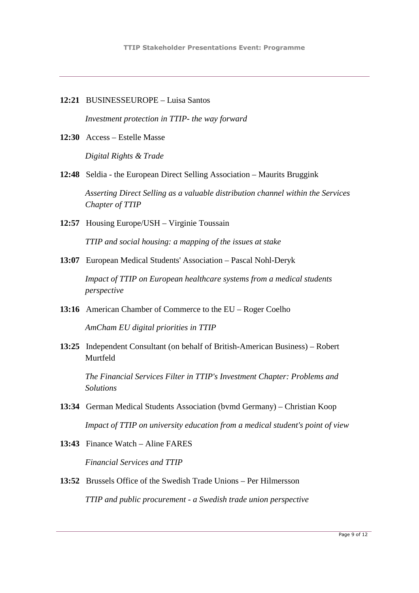**12:21** BUSINESSEUROPE – Luisa Santos

*Investment protection in TTIP- the way forward* 

**12:30** Access – Estelle Masse

*Digital Rights & Trade* 

**12:48** Seldia - the European Direct Selling Association – Maurits Bruggink

*Asserting Direct Selling as a valuable distribution channel within the Services Chapter of TTIP* 

**12:57** Housing Europe/USH – Virginie Toussain

*TTIP and social housing: a mapping of the issues at stake* 

**13:07** European Medical Students' Association – Pascal Nohl-Deryk

*Impact of TTIP on European healthcare systems from a medical students perspective* 

**13:16** American Chamber of Commerce to the EU – Roger Coelho

*AmCham EU digital priorities in TTIP* 

**13:25** Independent Consultant (on behalf of British-American Business) – Robert Murtfeld

*The Financial Services Filter in TTIP's Investment Chapter: Problems and Solutions* 

- **13:34** German Medical Students Association (bvmd Germany) Christian Koop *Impact of TTIP on university education from a medical student's point of view*
- **13:43** Finance Watch Aline FARES *Financial Services and TTIP*
- **13:52** Brussels Office of the Swedish Trade Unions Per Hilmersson *TTIP and public procurement - a Swedish trade union perspective*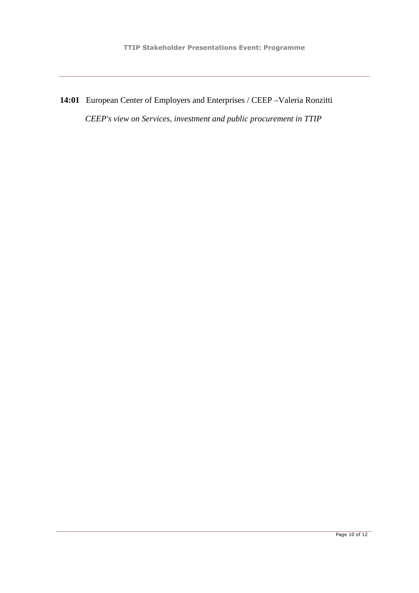**14:01** European Center of Employers and Enterprises / CEEP –Valeria Ronzitti *CEEP's view on Services, investment and public procurement in TTIP*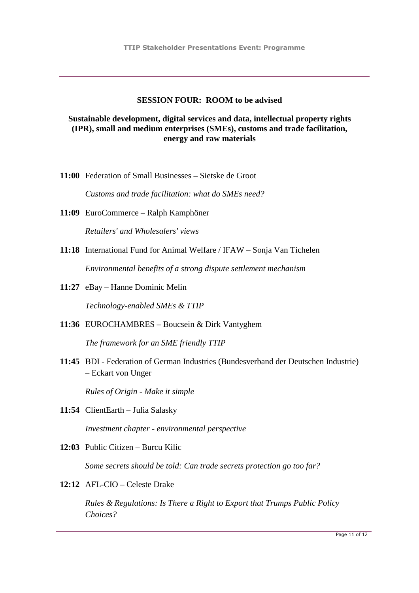### **SESSION FOUR: ROOM to be advised**

### **Sustainable development, digital services and data, intellectual property rights (IPR), small and medium enterprises (SMEs), customs and trade facilitation, energy and raw materials**

**11:00** Federation of Small Businesses – Sietske de Groot

*Customs and trade facilitation: what do SMEs need?*

- **11:09** EuroCommerce Ralph Kamphöner *Retailers' and Wholesalers' views*
- **11:18** International Fund for Animal Welfare / IFAW Sonja Van Tichelen *Environmental benefits of a strong dispute settlement mechanism*
- **11:27** eBay Hanne Dominic Melin *Technology-enabled SMEs & TTIP*
- **11:36** EUROCHAMBRES Boucsein & Dirk Vantyghem

*The framework for an SME friendly TTIP*

**11:45** BDI - Federation of German Industries (Bundesverband der Deutschen Industrie) – Eckart von Unger

*Rules of Origin - Make it simple*

- **11:54** ClientEarth Julia Salasky *Investment chapter - environmental perspective*
- **12:03** Public Citizen Burcu Kilic

*Some secrets should be told: Can trade secrets protection go too far?*

**12:12** AFL-CIO – Celeste Drake

*Rules & Regulations: Is There a Right to Export that Trumps Public Policy Choices?*